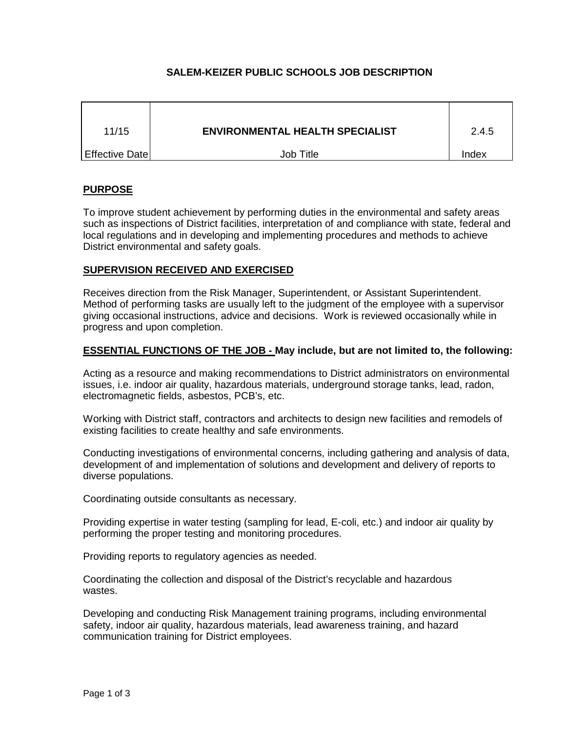## **SALEM-KEIZER PUBLIC SCHOOLS JOB DESCRIPTION**

| 11/15          | <b>ENVIRONMENTAL HEALTH SPECIALIST</b> | 2.4.5 |
|----------------|----------------------------------------|-------|
| Effective Date | Job Title                              | Index |

# **PURPOSE**

To improve student achievement by performing duties in the environmental and safety areas such as inspections of District facilities, interpretation of and compliance with state, federal and local regulations and in developing and implementing procedures and methods to achieve District environmental and safety goals.

## **SUPERVISION RECEIVED AND EXERCISED**

Receives direction from the Risk Manager, Superintendent, or Assistant Superintendent. Method of performing tasks are usually left to the judgment of the employee with a supervisor giving occasional instructions, advice and decisions. Work is reviewed occasionally while in progress and upon completion.

## **ESSENTIAL FUNCTIONS OF THE JOB - May include, but are not limited to, the following:**

Acting as a resource and making recommendations to District administrators on environmental issues, i.e. indoor air quality, hazardous materials, underground storage tanks, lead, radon, electromagnetic fields, asbestos, PCB's, etc.

Working with District staff, contractors and architects to design new facilities and remodels of existing facilities to create healthy and safe environments.

Conducting investigations of environmental concerns, including gathering and analysis of data, development of and implementation of solutions and development and delivery of reports to diverse populations.

Coordinating outside consultants as necessary.

Providing expertise in water testing (sampling for lead, E-coli, etc.) and indoor air quality by performing the proper testing and monitoring procedures.

Providing reports to regulatory agencies as needed.

Coordinating the collection and disposal of the District's recyclable and hazardous wastes.

Developing and conducting Risk Management training programs, including environmental safety, indoor air quality, hazardous materials, lead awareness training, and hazard communication training for District employees.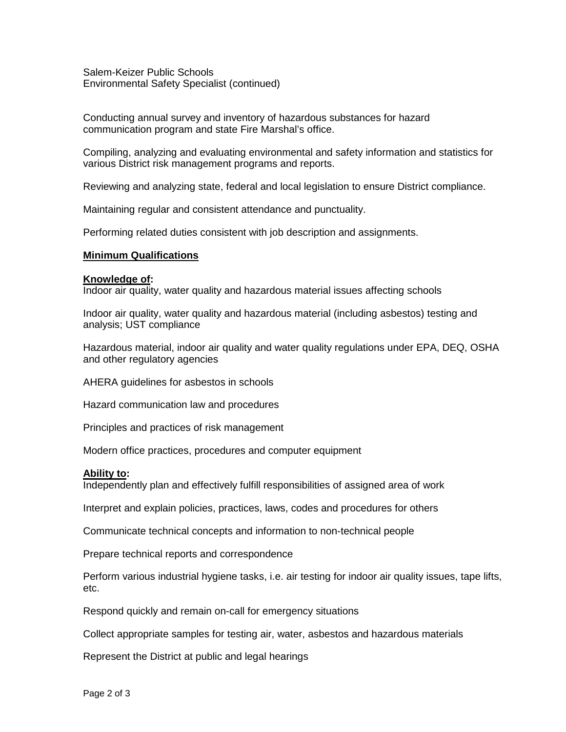Salem-Keizer Public Schools Environmental Safety Specialist (continued)

Conducting annual survey and inventory of hazardous substances for hazard communication program and state Fire Marshal's office.

Compiling, analyzing and evaluating environmental and safety information and statistics for various District risk management programs and reports.

Reviewing and analyzing state, federal and local legislation to ensure District compliance.

Maintaining regular and consistent attendance and punctuality.

Performing related duties consistent with job description and assignments.

### **Minimum Qualifications**

#### **Knowledge of:**

Indoor air quality, water quality and hazardous material issues affecting schools

Indoor air quality, water quality and hazardous material (including asbestos) testing and analysis; UST compliance

Hazardous material, indoor air quality and water quality regulations under EPA, DEQ, OSHA and other regulatory agencies

AHERA guidelines for asbestos in schools

Hazard communication law and procedures

Principles and practices of risk management

Modern office practices, procedures and computer equipment

#### **Ability to:**

Independently plan and effectively fulfill responsibilities of assigned area of work

Interpret and explain policies, practices, laws, codes and procedures for others

Communicate technical concepts and information to non-technical people

Prepare technical reports and correspondence

Perform various industrial hygiene tasks, i.e. air testing for indoor air quality issues, tape lifts, etc.

Respond quickly and remain on-call for emergency situations

Collect appropriate samples for testing air, water, asbestos and hazardous materials

Represent the District at public and legal hearings